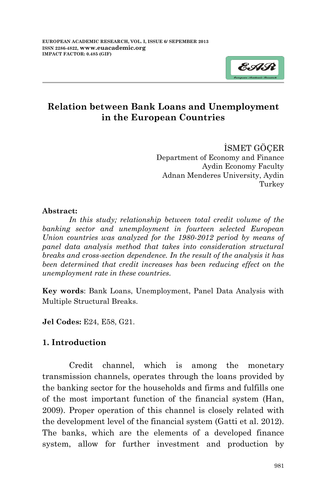

İSMET GÖÇER Department of Economy and Finance Aydin Economy Faculty Adnan Menderes University, Aydin Turkey

#### **Abstract:**

*In this study; relationship between total credit volume of the banking sector and unemployment in fourteen selected European Union countries was analyzed for the 1980-2012 period by means of panel data analysis method that takes into consideration structural breaks and cross-section dependence. In the result of the analysis it has been determined that credit increases has been reducing effect on the unemployment rate in these countries.* 

**Key words**: Bank Loans, Unemployment, Panel Data Analysis with Multiple Structural Breaks.

**Jel Codes:** E24, E58, G21.

#### **1. Introduction**

Credit channel, which is among the monetary transmission channels, operates through the loans provided by the banking sector for the households and firms and fulfills one of the most important function of the financial system (Han, 2009). Proper operation of this channel is closely related with the development level of the financial system (Gatti et al. 2012). The banks, which are the elements of a developed finance system, allow for further investment and production by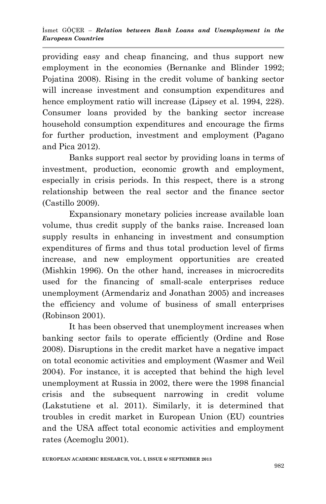providing easy and cheap financing, and thus support new employment in the economies (Bernanke and Blinder 1992; Pojatina 2008). Rising in the credit volume of banking sector will increase investment and consumption expenditures and hence employment ratio will increase (Lipsey et al. 1994, 228). Consumer loans provided by the banking sector increase household consumption expenditures and encourage the firms for further production, investment and employment (Pagano and Pica 2012).

Banks support real sector by providing loans in terms of investment, production, economic growth and employment, especially in crisis periods. In this respect, there is a strong relationship between the real sector and the finance sector (Castillo 2009).

Expansionary monetary policies increase available loan volume, thus credit supply of the banks raise. Increased loan supply results in enhancing in investment and consumption expenditures of firms and thus total production level of firms increase, and new employment opportunities are created (Mishkin 1996). On the other hand, increases in microcredits used for the financing of small-scale enterprises reduce unemployment (Armendariz and Jonathan 2005) and increases the efficiency and volume of business of small enterprises (Robinson 2001).

It has been observed that unemployment increases when banking sector fails to operate efficiently (Ordine and Rose 2008). Disruptions in the credit market have a negative impact on total economic activities and employment (Wasmer and Weil 2004). For instance, it is accepted that behind the high level unemployment at Russia in 2002, there were the 1998 financial crisis and the subsequent narrowing in credit volume (Lakstutiene et al. 2011). Similarly, it is determined that troubles in credit market in European Union (EU) countries and the USA affect total economic activities and employment rates (Acemoglu 2001).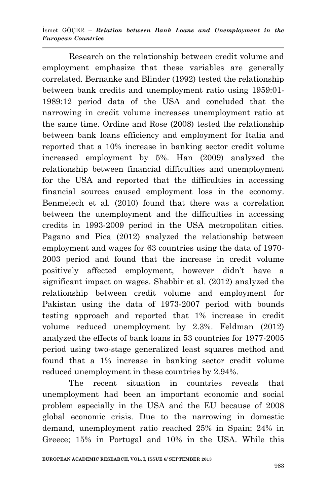Research on the relationship between credit volume and employment emphasize that these variables are generally correlated. Bernanke and Blinder (1992) tested the relationship between bank credits and unemployment ratio using 1959:01- 1989:12 period data of the USA and concluded that the narrowing in credit volume increases unemployment ratio at the same time. Ordine and Rose (2008) tested the relationship between bank loans efficiency and employment for Italia and reported that a 10% increase in banking sector credit volume increased employment by 5%. Han (2009) analyzed the relationship between financial difficulties and unemployment for the USA and reported that the difficulties in accessing financial sources caused employment loss in the economy. Benmelech et al. (2010) found that there was a correlation between the unemployment and the difficulties in accessing credits in 1993-2009 period in the USA metropolitan cities. Pagano and Pica (2012) analyzed the relationship between employment and wages for 63 countries using the data of 1970- 2003 period and found that the increase in credit volume positively affected employment, however didn't have a significant impact on wages. Shabbir et al. (2012) analyzed the relationship between credit volume and employment for Pakistan using the data of 1973-2007 period with bounds testing approach and reported that 1% increase in credit volume reduced unemployment by 2.3%. Feldman (2012) analyzed the effects of bank loans in 53 countries for 1977-2005 period using two-stage generalized least squares method and found that a 1% increase in banking sector credit volume reduced unemployment in these countries by 2.94%.

The recent situation in countries reveals that unemployment had been an important economic and social problem especially in the USA and the EU because of 2008 global economic crisis. Due to the narrowing in domestic demand, unemployment ratio reached 25% in Spain; 24% in Greece; 15% in Portugal and 10% in the USA. While this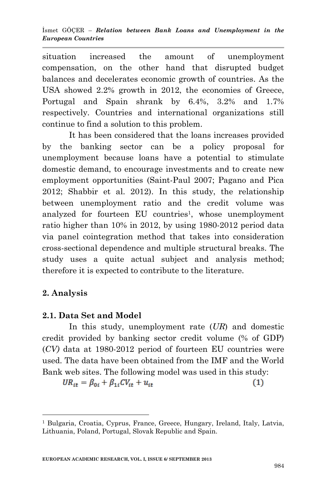situation increased the amount of unemployment compensation, on the other hand that disrupted budget balances and decelerates economic growth of countries. As the USA showed 2.2% growth in 2012, the economies of Greece, Portugal and Spain shrank by 6.4%, 3.2% and 1.7% respectively. Countries and international organizations still continue to find a solution to this problem.

It has been considered that the loans increases provided by the banking sector can be a policy proposal for unemployment because loans have a potential to stimulate domestic demand, to encourage investments and to create new employment opportunities (Saint-Paul 2007; Pagano and Pica 2012; Shabbir et al. 2012). In this study, the relationship between unemployment ratio and the credit volume was analyzed for fourteen EU countries<sup>1</sup>, whose unemployment ratio higher than 10% in 2012, by using 1980-2012 period data via panel cointegration method that takes into consideration cross-sectional dependence and multiple structural breaks. The study uses a quite actual subject and analysis method; therefore it is expected to contribute to the literature.

# **2. Analysis**

**.** 

# **2.1. Data Set and Model**

In this study, unemployment rate (*UR*) and domestic credit provided by banking sector credit volume (% of GDP) (*CV)* data at 1980-2012 period of fourteen EU countries were used. The data have been obtained from the IMF and the World Bank web sites. The following model was used in this study:

$$
UR_{it} = \beta_{0i} + \beta_{1i}CV_{it} + u_{it}
$$
\n<sup>(1)</sup>

<sup>1</sup> Bulgaria, Croatia, Cyprus, France, Greece, Hungary, Ireland, Italy, Latvia, Lithuania, Poland, Portugal, Slovak Republic and Spain.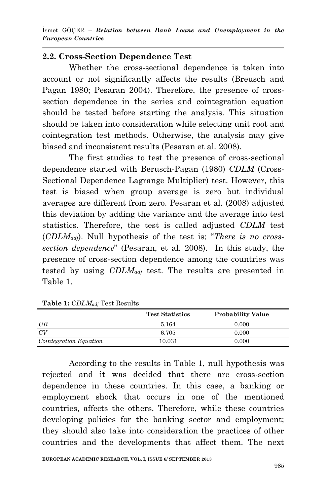# **2.2. Cross-Section Dependence Test**

Whether the cross-sectional dependence is taken into account or not significantly affects the results (Breusch and Pagan 1980; Pesaran 2004). Therefore, the presence of crosssection dependence in the series and cointegration equation should be tested before starting the analysis. This situation should be taken into consideration while selecting unit root and cointegration test methods. Otherwise, the analysis may give biased and inconsistent results (Pesaran et al*.* 2008).

The first studies to test the presence of cross-sectional dependence started with Berusch-Pagan (1980) *CDLM* (Cross-Sectional Dependence Lagrange Multiplier) test. However, this test is biased when group average is zero but individual averages are different from zero. Pesaran et al*.* (2008) adjusted this deviation by adding the variance and the average into test statistics. Therefore, the test is called adjusted *CDLM* test (*CDLMadj*). Null hypothesis of the test is; "*There is no crosssection dependence*" (Pesaran, et al. 2008). In this study, the presence of cross-section dependence among the countries was tested by using *CDLMadj* test. The results are presented in Table 1.

|                        | <b>Test Statistics</b> | <b>Probability Value</b> |
|------------------------|------------------------|--------------------------|
| UR                     | 5.164                  | 0.000                    |
| CV                     | 6.705                  | 0.000                    |
| Cointegration Equation | 10.031                 | 0.000                    |

#### **Table 1:** *CDLMadj* Test Results

According to the results in Table 1, null hypothesis was rejected and it was decided that there are cross-section dependence in these countries. In this case, a banking or employment shock that occurs in one of the mentioned countries, affects the others. Therefore, while these countries developing policies for the banking sector and employment; they should also take into consideration the practices of other countries and the developments that affect them. The next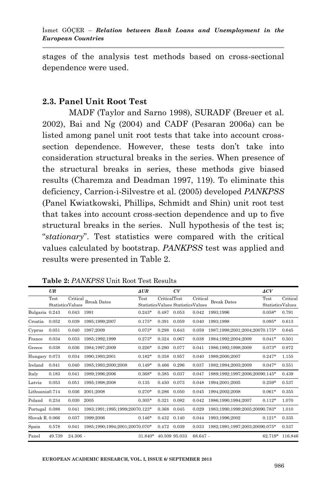stages of the analysis test methods based on cross-sectional dependence were used.

### **2.3. Panel Unit Root Test**

MADF (Taylor and Sarno 1998), SURADF (Breuer et al*.* 2002), Bai and Ng (2004) and CADF (Pesaran 2006a) can be listed among panel unit root tests that take into account crosssection dependence. However, these tests don't take into consideration structural breaks in the series. When presence of the structural breaks in series, these methods give biased results (Charemza and Deadman 1997, 119). To eliminate this deficiency, Carrion-i-Silvestre et al. (2005) developed *PANKPSS*  (Panel Kwiatkowski, Phillips, Schmidt and Shin) unit root test that takes into account cross-section dependence and up to five structural breaks in the series. Null hypothesis of the test is; "*stationary*". Test statistics were compared with the critical values calculated by bootstrap. *PANKPSS* test was applied and results were presented in Table 2.

|                 | UR     |                              |                                | $\Delta UR$ |              | CV                                |          |                                | ACV                      |          |
|-----------------|--------|------------------------------|--------------------------------|-------------|--------------|-----------------------------------|----------|--------------------------------|--------------------------|----------|
|                 | Test   | Critical<br>StatisticsValues | <b>Break Dates</b>             | Test        | CriticalTest | StatisticsValues StatisticsValues | Critical | <b>Break Dates</b>             | Test<br>StatisticsValues | Critical |
| Bulgaria 0.243  |        | 0.043                        | 1991                           | $0.243*$    | 0.487        | 0.053                             | 0.042    | 1993:1996                      | $0.058*$                 | 0.791    |
| Croatia         | 0.052  | 0.039                        | 1995:1999:2007                 | $0.175*$    | 0.391        | 0.059                             | 0.040    | 1993:1998                      | $0.095*$                 | 0.613    |
| Cyprus          | 0.051  | 0.040                        | 1987:2009                      | $0.073*$    | 0.298        | 0.643                             | 0.059    | 1987;1998;2001;2004;20070.175* |                          | 0.645    |
| France          | 0.034  | 0.033                        | 1985;1992;1999                 | $0.273*$    | 0.324        | 0.067                             | 0.038    | 1984;1992;2004;2009            | $0.041*$                 | 0.501    |
| Greece          | 0.038  | 0.036                        | 1984:1997:2009                 | $0.226*$    | 0.290        | 0.077                             | 0.041    | 1986:1992:1998:2009            | $0.073*$                 | 0.972    |
| Hungary 0.073   |        | 0.034                        | 1990:1993:2001                 | $0.182*$    | 0.358        | 0.957                             | 0.040    | 1989:2000:2007                 | $0.247*$                 | 1.155    |
| Ireland         | 0.041  | 0.040                        | 1985:1993:2000:2008            | $0.149*$    | 0.466        | 0.296                             | 0.037    | 1982;1994;2003;2009            | $0.047*$                 | 0.551    |
| Italy           | 0.183  | 0.041                        | 1989:1996:2006                 | $0.368*$    | 0.385        | 0.037                             | 0.047    | 1989;1992;1997;2006;20090.145* |                          | 0.439    |
| Latvia          | 0.053  | 0.051                        | 1995:1998:2008                 | 0.135       | 0.450        | 0.073                             | 0.048    | 1994:2001:2005                 | $0.259*$                 | 0.537    |
| Lithuania0.714  |        | 0.036                        | 2001;2008                      | $0.270*$    | 0.286        | 0.050                             | 0.045    | 1994:2002:2008                 | $0.061*$                 | 0.355    |
| Poland          | 0.234  | 0.030                        | 2005                           | $0.305*$    | 0.321        | 0.082                             | 0.042    | 1986:1990:1994:2007            | $0.112*$                 | 1.070    |
| Portugal 0.088  |        | 0.041                        | 1983:1991:1995:1999:20070.123* |             | 0.368        | 0.045                             | 0.029    | 1983:1990:1999:2005:20090.783* |                          | 1.010    |
| Slovak R, 0.066 |        | 0.037                        | 1999:2006                      | $0.146*$    | 0.432        | 0.140                             | 0.044    | 1993:1996:2002                 | $0.121*$                 | 0.335    |
| Spain           | 0.578  | 0.041                        | 1985:1990:1994:2001:20070.070* |             | 0.472        | 0.039                             | 0.033    | 1982:1991:1997:2003:20090.075* |                          | 0.537    |
| Panel           | 49.739 | $24.306 -$                   |                                | 31.840*     |              | 40.509 95.033                     | 68.647 - |                                | 62.719*                  | 116.846  |

**Table 2:** *PANKPSS* Unit Root Test Results

**EUROPEAN ACADEMIC RESEARCH, VOL. I, ISSUE 6/ SEPTEMBER 2013**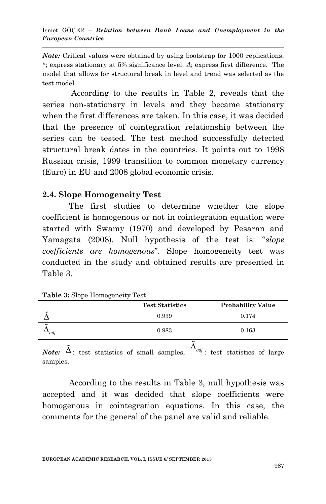*Note:* Critical values were obtained by using bootstrap for 1000 replications. \*; express stationary at 5% significance level. *Δ*; express first difference. The model that allows for structural break in level and trend was selected as the test model.

According to the results in Table 2, reveals that the series non-stationary in levels and they became stationary when the first differences are taken. In this case, it was decided that the presence of cointegration relationship between the series can be tested. The test method successfully detected structural break dates in the countries. It points out to 1998 Russian crisis, 1999 transition to common monetary currency (Euro) in EU and 2008 global economic crisis.

#### **2.4. Slope Homogeneity Test**

The first studies to determine whether the slope coefficient is homogenous or not in cointegration equation were started with Swamy (1970) and developed by Pesaran and Yamagata (2008). Null hypothesis of the test is: "*slope coefficients are homogenous*". Slope homogeneity test was conducted in the study and obtained results are presented in Table 3.

| <b>Table 3:</b> Slope Homogeneity Test |  |  |
|----------------------------------------|--|--|
| <b>Test Statistics</b>                 |  |  |

|                                 | <b>Test Statistics</b> | <b>Probability Value</b> |
|---------------------------------|------------------------|--------------------------|
| $\tilde{\phantom{a}}$           | 0.939                  | 0.174                    |
| $\tilde{}$<br>$\rightarrow$ adj | 0.983                  | 0.163                    |

*Note:*  $\tilde{\Delta}$ : test statistics of small samples,  $\Delta_{adj}$ : test statistics of large samples.

According to the results in Table 3, null hypothesis was accepted and it was decided that slope coefficients were homogenous in cointegration equations. In this case, the comments for the general of the panel are valid and reliable.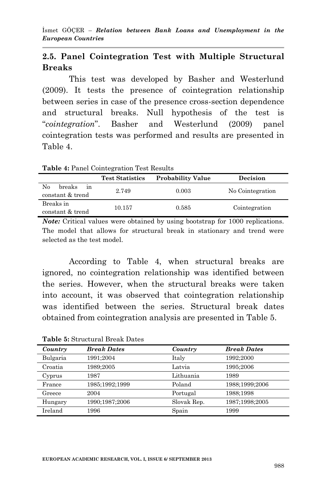## **2.5. Panel Cointegration Test with Multiple Structural Breaks**

This test was developed by Basher and Westerlund (2009). It tests the presence of cointegration relationship between series in case of the presence cross-section dependence and structural breaks. Null hypothesis of the test is "*cointegration*". Basher and Westerlund (2009) panel cointegration tests was performed and results are presented in Table 4.

**Table 4:** Panel Cointegration Test Results

|                                        | <b>Test Statistics</b> | <b>Probability Value</b> | Decision         |
|----------------------------------------|------------------------|--------------------------|------------------|
| No<br>breaks<br>ın<br>constant & trend | 2.749                  | 0.003                    | No Cointegration |
| Breaks in<br>constant & trend          | 10.157                 | 0.585                    | Cointegration    |

*Note:* Critical values were obtained by using bootstrap for 1000 replications. The model that allows for structural break in stationary and trend were selected as the test model.

According to Table 4, when structural breaks are ignored, no cointegration relationship was identified between the series. However, when the structural breaks were taken into account, it was observed that cointegration relationship was identified between the series. Structural break dates obtained from cointegration analysis are presented in Table 5.

| Country  | <b>Break Dates</b> | Country     | <b>Break Dates</b> |
|----------|--------------------|-------------|--------------------|
| Bulgaria | 1991;2004          | Italy       | 1992:2000          |
| Croatia  | 1989:2005          | Latvia      | 1995;2006          |
| Cyprus   | 1987               | Lithuania   | 1989               |
| France   | 1985;1992;1999     | Poland      | 1988;1999;2006     |
| Greece   | 2004               | Portugal    | 1988:1998          |
| Hungary  | 1990;1987;2006     | Slovak Rep. | 1987;1998;2005     |
| Ireland  | 1996               | Spain       | 1999               |

**Table 5:** Structural Break Dates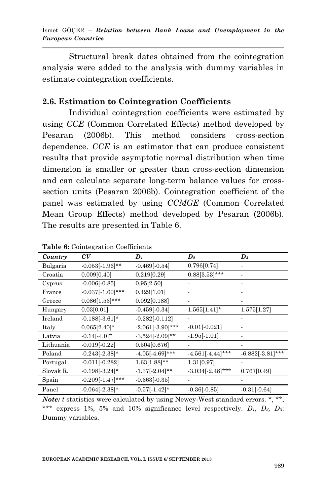Structural break dates obtained from the cointegration analysis were added to the analysis with dummy variables in estimate cointegration coefficients.

#### **2.6. Estimation to Cointegration Coefficients**

Individual cointegration coefficients were estimated by using *CCE* (Common Correlated Effects) method developed by Pesaran (2006b). This method considers cross-section dependence. *CCE* is an estimator that can produce consistent results that provide asymptotic normal distribution when time dimension is smaller or greater than cross-section dimension and can calculate separate long-term balance values for crosssection units (Pesaran 2006b). Cointegration coefficient of the panel was estimated by using *CCMGE* (Common Correlated Mean Group Effects) method developed by Pesaran (2006b). The results are presented in Table 6.

| Country   | CV                  | $\boldsymbol{D}_I$ | $\boldsymbol{D_2}$  | $\boldsymbol{D}_3$ |
|-----------|---------------------|--------------------|---------------------|--------------------|
| Bulgaria  | $-0.053[-1.96]$ **  | $-0.469[-0.54]$    | 0.796[0.74]         |                    |
| Croatia   | 0.009[0.40]         | 0.219[0.29]        | $0.88[3.53]$ ***    |                    |
| Cyprus    | $-0.006[-0.85]$     | 0.95[2.50]         |                     |                    |
| France    | $-0.037[-1.60]$ *** | 0.429[1.01]        |                     |                    |
| Greece    | $0.086[1.53]***$    | 0.092[0.188]       |                     |                    |
| Hungary   | 0.03[0.01]          | $-0.459[-0.34]$    | $1.565[1.41]*$      | 1.575[1.27]        |
| Ireland   | $-0.188[-3.61]*$    | $-0.282[-0.112]$   |                     |                    |
| Italy     | $0.065[2.40]*$      | $-2.061[-3.90]***$ | $-0.01[-0.021]$     |                    |
| Latvia    | $-0.14[-4.0]*$      | $-3.524[-2.09]**$  | $-1.95[-1.01]$      |                    |
| Lithuania | $-0.019[-0.22]$     | 0.504[0.676]       |                     |                    |
| Poland    | $-0.243[-2.38]*$    | $-4.05[-4.69]$ *** | $-4.561[-4.44]$ *** | $-6.882[-3.81]***$ |
| Portugal  | $-0.011[-0.282]$    | $1.63[1.88]**$     | 1.31[0.97]          |                    |
| Slovak R. | $-0.198[-3.24]$ *   | $-1.37[-2.04]$ **  | $-3.034[-2.48]$ *** | 0.767[0.49]        |
| Spain     | $-0.209[-1.47]***$  | $-0.363[-0.35]$    |                     |                    |
| Panel     | $-0.064[-2.38]*$    | $-0.57[-1.42]*$    | $-0.36[-0.85]$      | $-0.31[-0.64]$     |

**Table 6:** Cointegration Coefficients

*Note: t* statistics were calculated by using Newey-West standard errors. \*, \*\*, \*\*\* express 1%, 5% and 10% significance level respectively. *D1, D2, D3*: Dummy variables.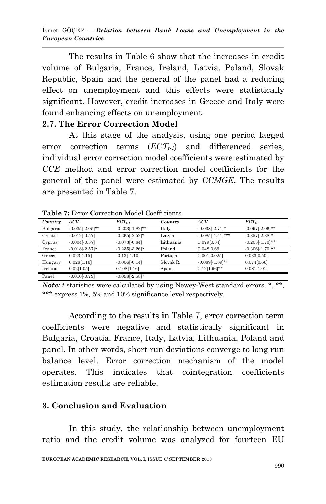The results in Table 6 show that the increases in credit volume of Bulgaria, France, Ireland, Latvia, Poland, Slovak Republic, Spain and the general of the panel had a reducing effect on unemployment and this effects were statistically significant. However, credit increases in Greece and Italy were found enhancing effects on unemployment.

#### **2.7. The Error Correction Model**

At this stage of the analysis, using one period lagged error correction terms (*ECTt-1*) and differenced series, individual error correction model coefficients were estimated by *CCE* method and error correction model coefficients for the general of the panel were estimated by *CCMGE*. The results are presented in Table 7.

| Country  | $\Delta CV$        | $ECT_{t-1}$        | Country   | ACV                 | $ECT_{t-1}$        |
|----------|--------------------|--------------------|-----------|---------------------|--------------------|
| Bulgaria | $-0.035[-2.05]$ ** | $-0.203[-1.82]$ ** | Italy     | $-0.038[-2.71]*$    | $-0.097[-2.06]$ ** |
| Croatia  | $-0.012[-0.57]$    | $-0.265[-2.52]$ *  | Latvia    | $-0.085[-1.41]$ *** | $-0.357[-2.38]*$   |
| Cyprus   | $-0.004[-0.57]$    | $-0.073[-0.84]$    | Lithuania | 0.079[0.84]         | $-0.205[-1.70]$ ** |
| France   | $-0.018[-2.57]*$   | $-0.235[-3.26]$ *  | Poland    | 0.048[0.69]         | $-0.306[-1.70]$ ** |
| Greece   | 0.023[1.15]        | $-0.13[-1.10]$     | Portugal  | 0.001[0.025]        | 0.033[0.50]        |
| Hungary  | 0.028[1.16]        | $-0.006[-0.14]$    | Slovak R. | $-0.089[-1.89]$ **  | 0.074[0.66]        |
| Ireland  | 0.02[1.05]         | 0.108[1.16]        | Spain     | $0.12[1.96]$ **     | 0.081[1.01]        |
| Panel    | $-0.010[-0.79]$    | $-0.098[-2.58]$ *  |           |                     |                    |

**Table 7:** Error Correction Model Coefficients

*Note: t* statistics were calculated by using Newey-West standard errors. \*, \*\*, \*\*\* express 1%, 5% and 10% significance level respectively.

According to the results in Table 7, error correction term coefficients were negative and statistically significant in Bulgaria, Croatia, France, Italy, Latvia, Lithuania, Poland and panel. In other words, short run deviations converge to long run balance level. Error correction mechanism of the model operates. This indicates that cointegration coefficients estimation results are reliable.

#### **3. Conclusion and Evaluation**

In this study, the relationship between unemployment ratio and the credit volume was analyzed for fourteen EU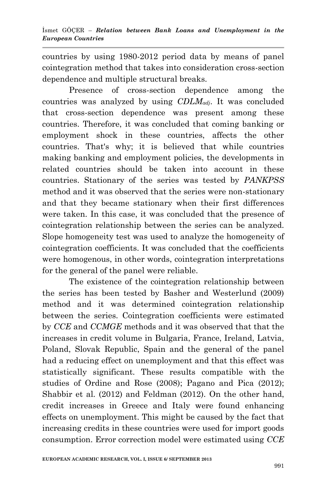countries by using 1980-2012 period data by means of panel cointegration method that takes into consideration cross-section dependence and multiple structural breaks.

Presence of cross-section dependence among the countries was analyzed by using *CDLMadj*. It was concluded that cross-section dependence was present among these countries. Therefore, it was concluded that coming banking or employment shock in these countries, affects the other countries. That's why; it is believed that while countries making banking and employment policies, the developments in related countries should be taken into account in these countries. Stationary of the series was tested by *PANKPSS* method and it was observed that the series were non-stationary and that they became stationary when their first differences were taken. In this case, it was concluded that the presence of cointegration relationship between the series can be analyzed. Slope homogeneity test was used to analyze the homogeneity of cointegration coefficients. It was concluded that the coefficients were homogenous, in other words, cointegration interpretations for the general of the panel were reliable.

The existence of the cointegration relationship between the series has been tested by Basher and Westerlund (2009) method and it was determined cointegration relationship between the series. Cointegration coefficients were estimated by *CCE* and *CCMGE* methods and it was observed that that the increases in credit volume in Bulgaria, France, Ireland, Latvia, Poland, Slovak Republic, Spain and the general of the panel had a reducing effect on unemployment and that this effect was statistically significant. These results compatible with the studies of Ordine and Rose (2008); Pagano and Pica (2012); Shabbir et al. (2012) and Feldman (2012). On the other hand, credit increases in Greece and Italy were found enhancing effects on unemployment. This might be caused by the fact that increasing credits in these countries were used for import goods consumption. Error correction model were estimated using *CCE*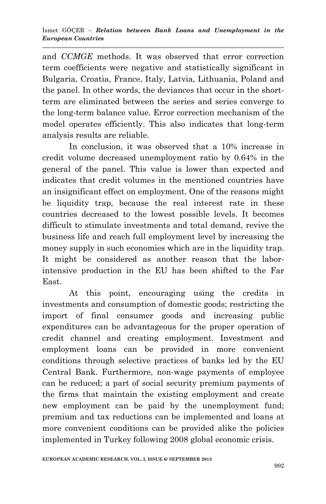and *CCMGE* methods. It was observed that error correction term coefficients were negative and statistically significant in Bulgaria, Croatia, France, Italy, Latvia, Lithuania, Poland and the panel. In other words, the deviances that occur in the shortterm are eliminated between the series and series converge to the long-term balance value. Error correction mechanism of the model operates efficiently. This also indicates that long-term analysis results are reliable.

In conclusion, it was observed that a 10% increase in credit volume decreased unemployment ratio by 0.64% in the general of the panel. This value is lower than expected and indicates that credit volumes in the mentioned countries have an insignificant effect on employment. One of the reasons might be liquidity trap, because the real interest rate in these countries decreased to the lowest possible levels. It becomes difficult to stimulate investments and total demand, revive the business life and reach full employment level by increasing the money supply in such economies which are in the liquidity trap. It might be considered as another reason that the laborintensive production in the EU has been shifted to the Far East.

At this point, encouraging using the credits in investments and consumption of domestic goods; restricting the import of final consumer goods and increasing public expenditures can be advantageous for the proper operation of credit channel and creating employment. Investment and employment loans can be provided in more convenient conditions through selective practices of banks led by the EU Central Bank. Furthermore, non-wage payments of employee can be reduced; a part of social security premium payments of the firms that maintain the existing employment and create new employment can be paid by the unemployment fund; premium and tax reductions can be implemented and loans at more convenient conditions can be provided alike the policies implemented in Turkey following 2008 global economic crisis.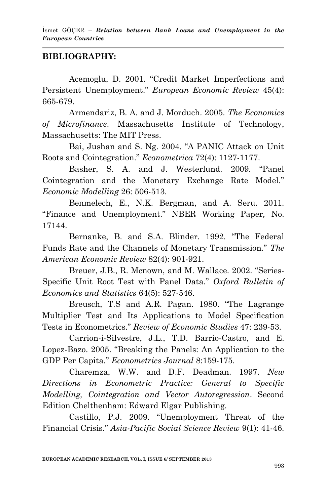# **BIBLIOGRAPHY:**

Acemoglu, D. 2001. "Credit Market Imperfections and Persistent Unemployment." *[European Economic Review](http://www.scopus.com/source/sourceInfo.url?sourceId=20749&origin=recordpage)* 45(4): 665-679.

Armendariz, B. A. and J. Morduch. 2005. *The Economics of Microfinance*. Massachusetts Institute of Technology, Massachusetts: The MIT Press.

Bai, Jushan and S. Ng. 2004. "A PANIC Attack on Unit Roots and Cointegration." *Econometrica* 72(4): 1127-1177.

Basher, S. A. and J. Westerlund. 2009. "Panel Cointegration and the Monetary Exchange Rate Model." *Economic Modelling* 26: 506-513.

Benmelech, E., N.K. Bergman, and A. Seru. 2011. "Finance and Unemployment." NBER Working Paper*,* No. 17144.

Bernanke, B. and S.A. Blinder. 1992. "The Federal Funds Rate and the Channels of Monetary Transmission." *The American Economic Review* 82(4): 901-921.

Breuer, J.B., R. Mcnown, and M. Wallace. 2002. "Series-Specific Unit Root Test with Panel Data." *Oxford Bulletin of Economics and Statistics* 64(5): 527-546.

Breusch, T.S and A.R. Pagan. 1980. "The Lagrange Multiplier Test and Its Applications to Model Specification Tests in Econometrics." *Review of Economic Studies* 47: 239-53.

Carrion-i-Silvestre, J.L., T.D. Barrio-Castro, and E. Lopez-Bazo. 2005. "Breaking the Panels: An Application to the GDP Per Capita." *Econometrics Journal* 8:159-175.

Charemza, W.W. and D.F. Deadman. 1997. *New Directions in Econometric Practice: General to Specific Modelling, Cointegration and Vector Autoregression*. Second Edition Chelthenham: Edward Elgar Publishing.

Castillo, P.J. 2009. "Unemployment Threat of the Financial Crisis." *Asia-Pacific Social Science Review* 9(1): 41-46.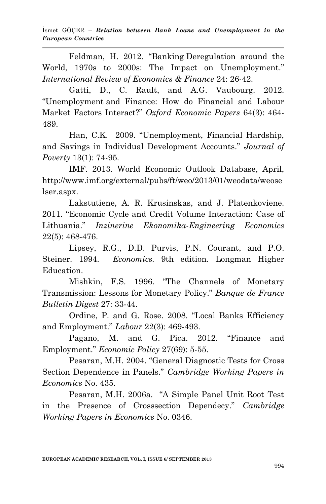Feldman, H. 2012. "Banking Deregulation around the World, 1970s to 2000s: The Impact on Unemployment." *International Review of Economics & Finance* 24: 26-42.

Gatti, D., C. Rault, and A.G. Vaubourg. 2012. "Unemployment and Finance: How do Financial and Labour Market Factors Interact?" *Oxford Economic Papers* 64(3): 464- 489.

Han, C.K. 2009. "Unemployment, Financial Hardship, and Savings in Individual Development Accounts." *Journal of Poverty* 13(1): 74-95.

IMF. 2013. World Economic Outlook Database, April, http://www.imf.org/external/pubs/ft/weo/2013/01/weodata/weose lser.aspx.

Lakstutiene, A. R. Krusinskas, and J. Platenkoviene. 2011. "Economic Cycle and Credit Volume Interaction: Case of Lithuania." *Inzinerine Ekonomika-Engineering Economics* 22(5): 468-476.

Lipsey, R.G., D.D. Purvis, P.N. Courant, and P.O. Steiner. 1994. *Economics.* 9th edition. Longman Higher Education.

Mishkin, F.S. 1996. "The Channels of Monetary Transmission: Lessons for Monetary Policy." *Banque de France Bulletin Digest* 27: 33-44.

Ordine, P. and G. Rose. 2008. "Local Banks Efficiency and Employment." *Labour* 22(3): 469-493.

Pagano, M. and G. Pica. 2012. "Finance and Employment." *Economic Policy* 27(69): 5-55.

Pesaran, M.H. 2004. "General Diagnostic Tests for Cross Section Dependence in Panels." *Cambridge Working Papers in Economics* No. 435.

Pesaran, M.H. 2006a. "A Simple Panel Unit Root Test in the Presence of Crosssection Dependecy." *Cambridge Working Papers in Economics* No. 0346.